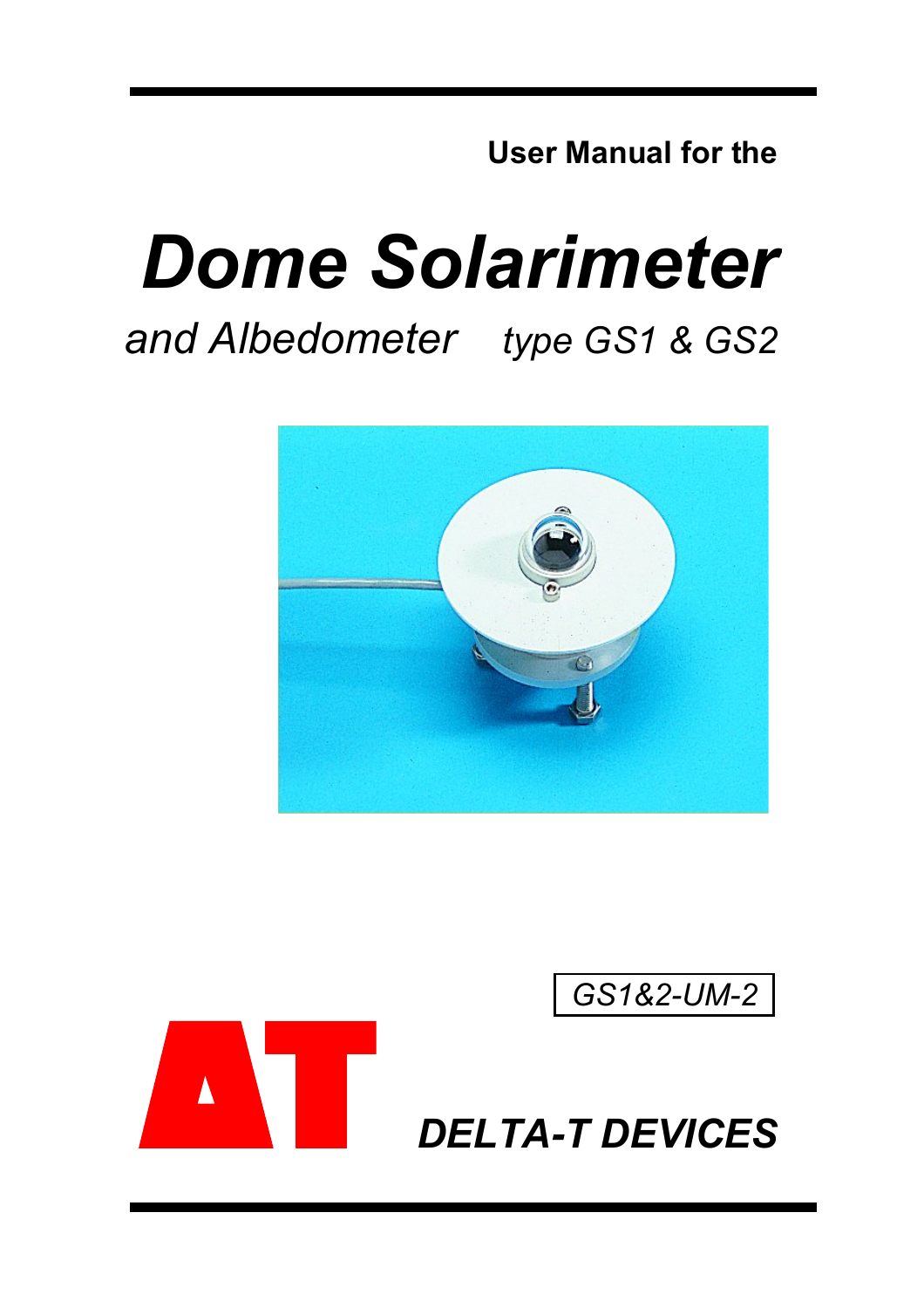**User Manual for the**

# *Dome Solarimeter and Albedometer type GS1 & GS2*



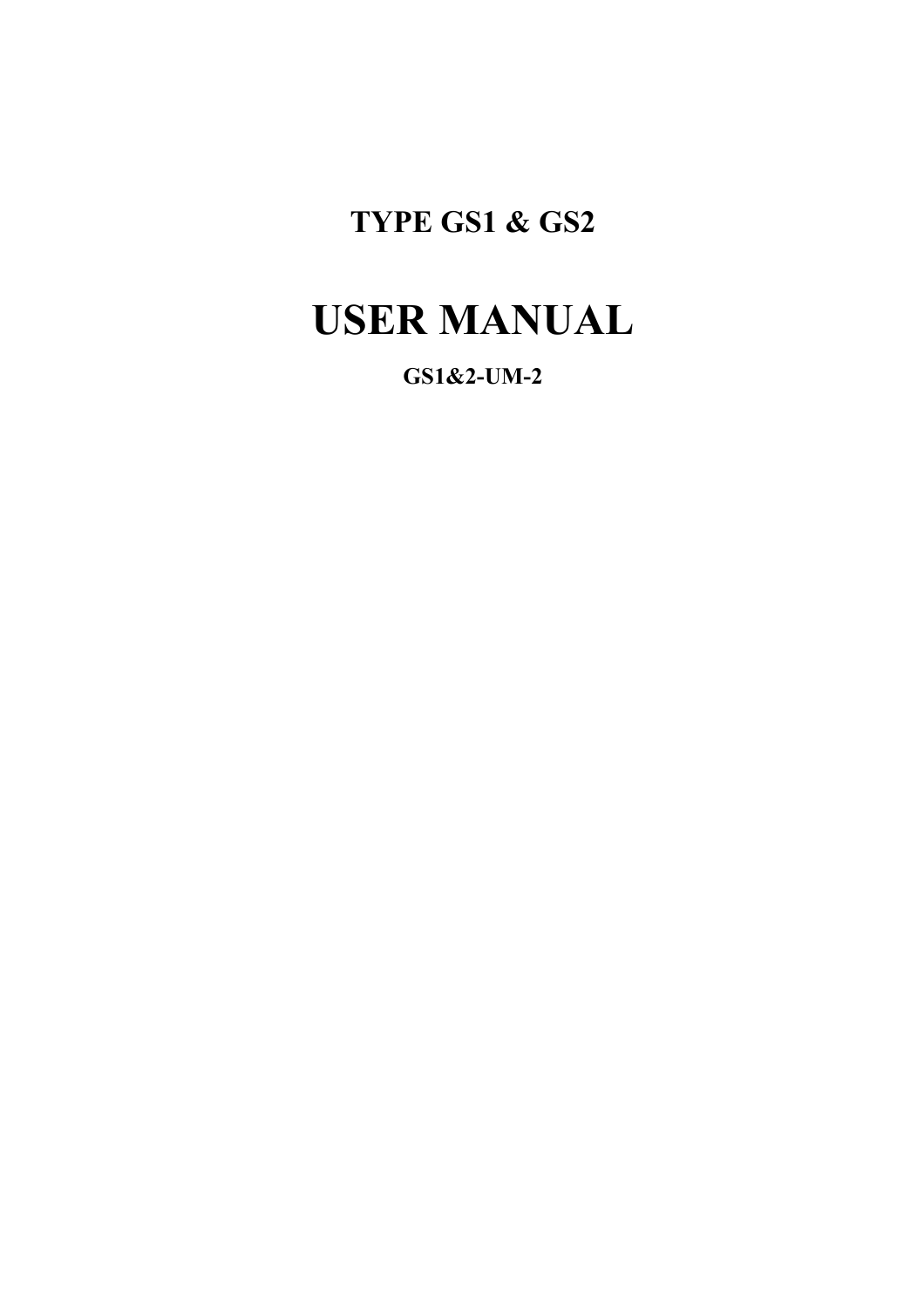### **TYPE GS1 & GS2**

## **USER MANUAL**

**GS1&2-UM-2**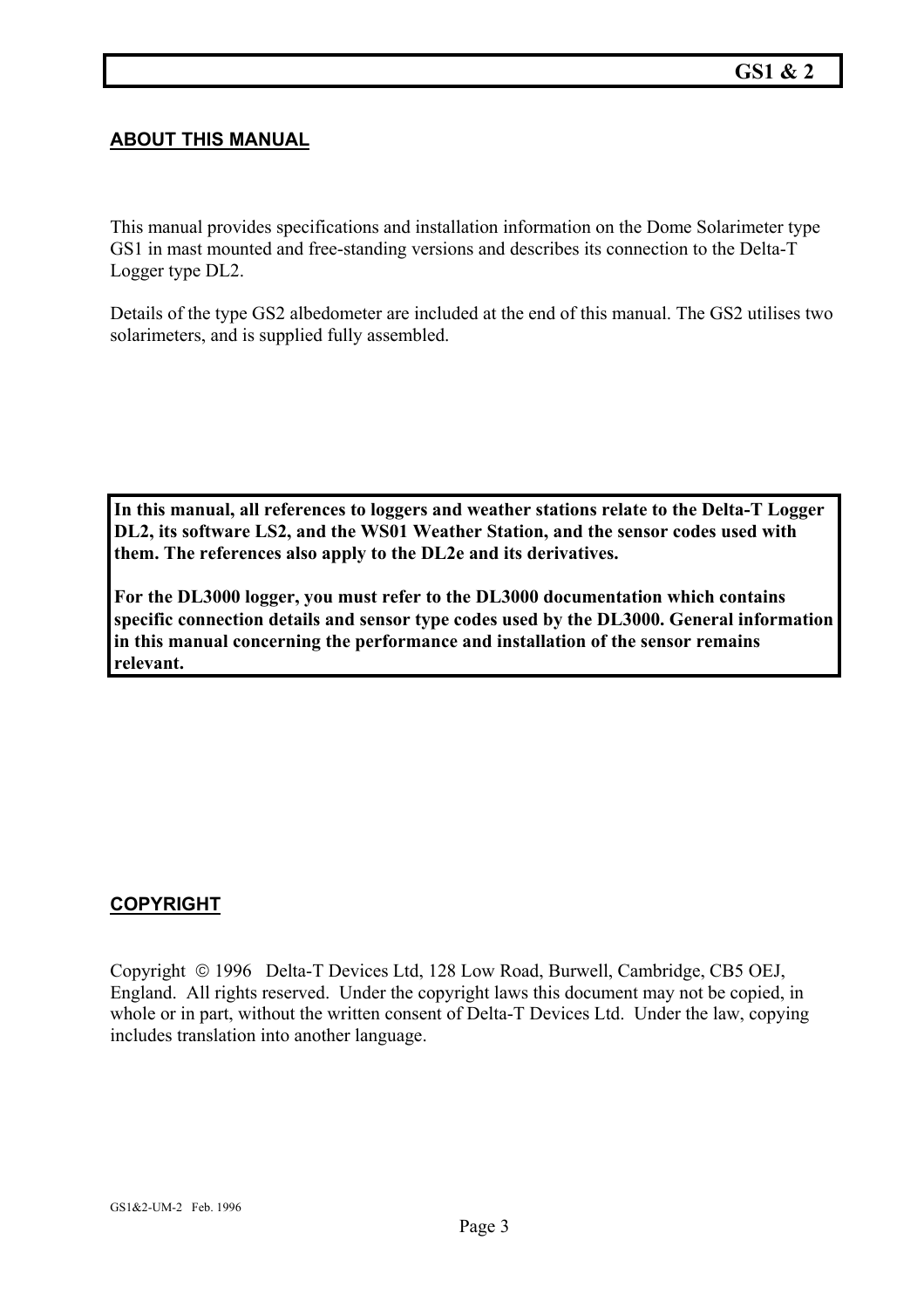#### **ABOUT THIS MANUAL**

This manual provides specifications and installation information on the Dome Solarimeter type GS1 in mast mounted and free-standing versions and describes its connection to the Delta-T Logger type DL2.

Details of the type GS2 albedometer are included at the end of this manual. The GS2 utilises two solarimeters, and is supplied fully assembled.

**In this manual, all references to loggers and weather stations relate to the Delta-T Logger DL2, its software LS2, and the WS01 Weather Station, and the sensor codes used with them. The references also apply to the DL2e and its derivatives.** 

**For the DL3000 logger, you must refer to the DL3000 documentation which contains specific connection details and sensor type codes used by the DL3000. General information in this manual concerning the performance and installation of the sensor remains relevant.** 

#### **COPYRIGHT**

Copyright © 1996 Delta-T Devices Ltd, 128 Low Road, Burwell, Cambridge, CB5 OEJ, England. All rights reserved. Under the copyright laws this document may not be copied, in whole or in part, without the written consent of Delta-T Devices Ltd. Under the law, copying includes translation into another language.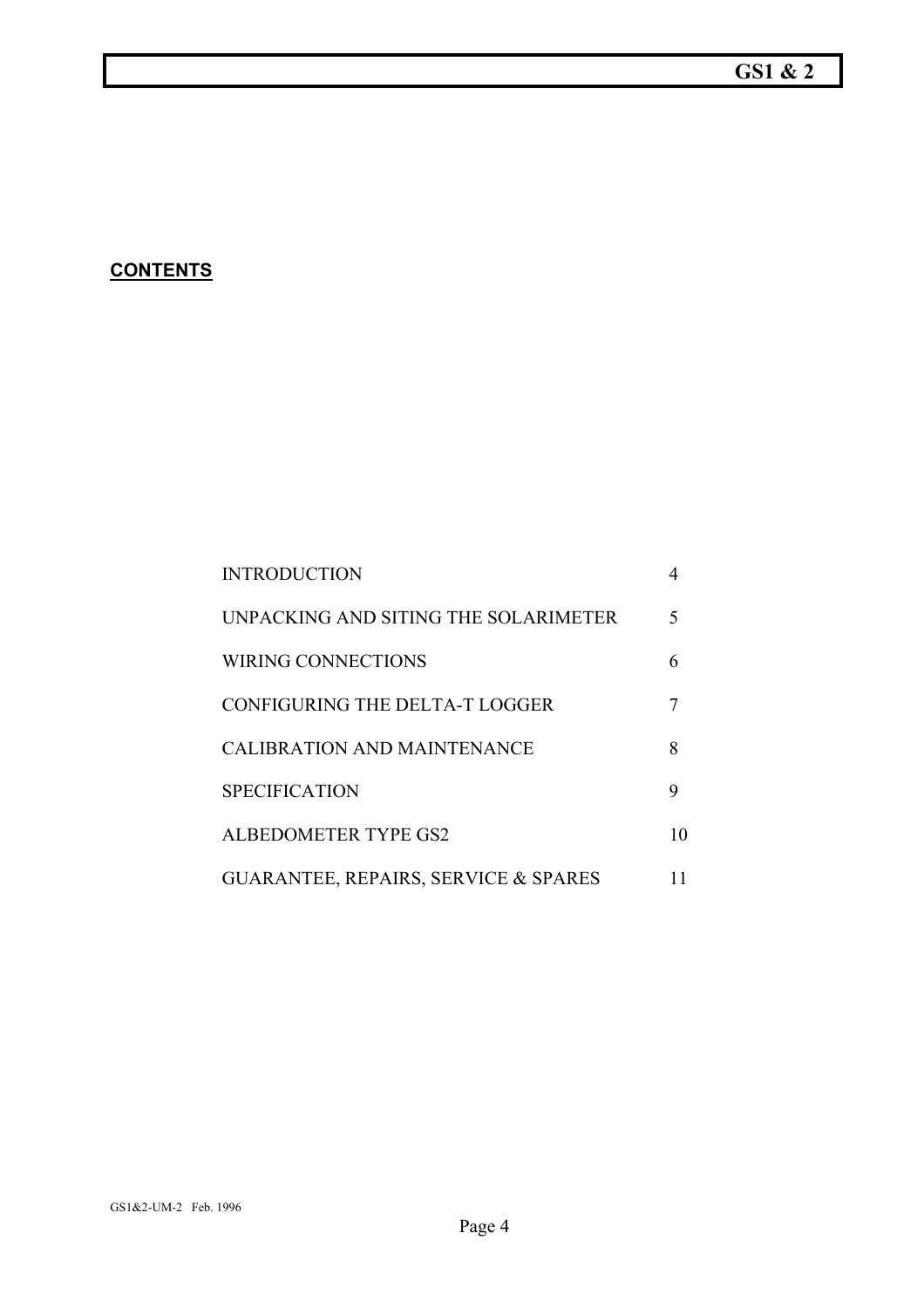#### **GS1 & 2**

#### **CONTENTS**

| <b>INTRODUCTION</b>                             |    |
|-------------------------------------------------|----|
| UNPACKING AND SITING THE SOLARIMETER            | 5  |
| <b>WIRING CONNECTIONS</b>                       | 6  |
| <b>CONFIGURING THE DELTA-T LOGGER</b>           |    |
| <b>CALIBRATION AND MAINTENANCE</b>              | 8  |
| <b>SPECIFICATION</b>                            | 9  |
| <b>ALBEDOMETER TYPE GS2</b>                     | 10 |
| <b>GUARANTEE, REPAIRS, SERVICE &amp; SPARES</b> |    |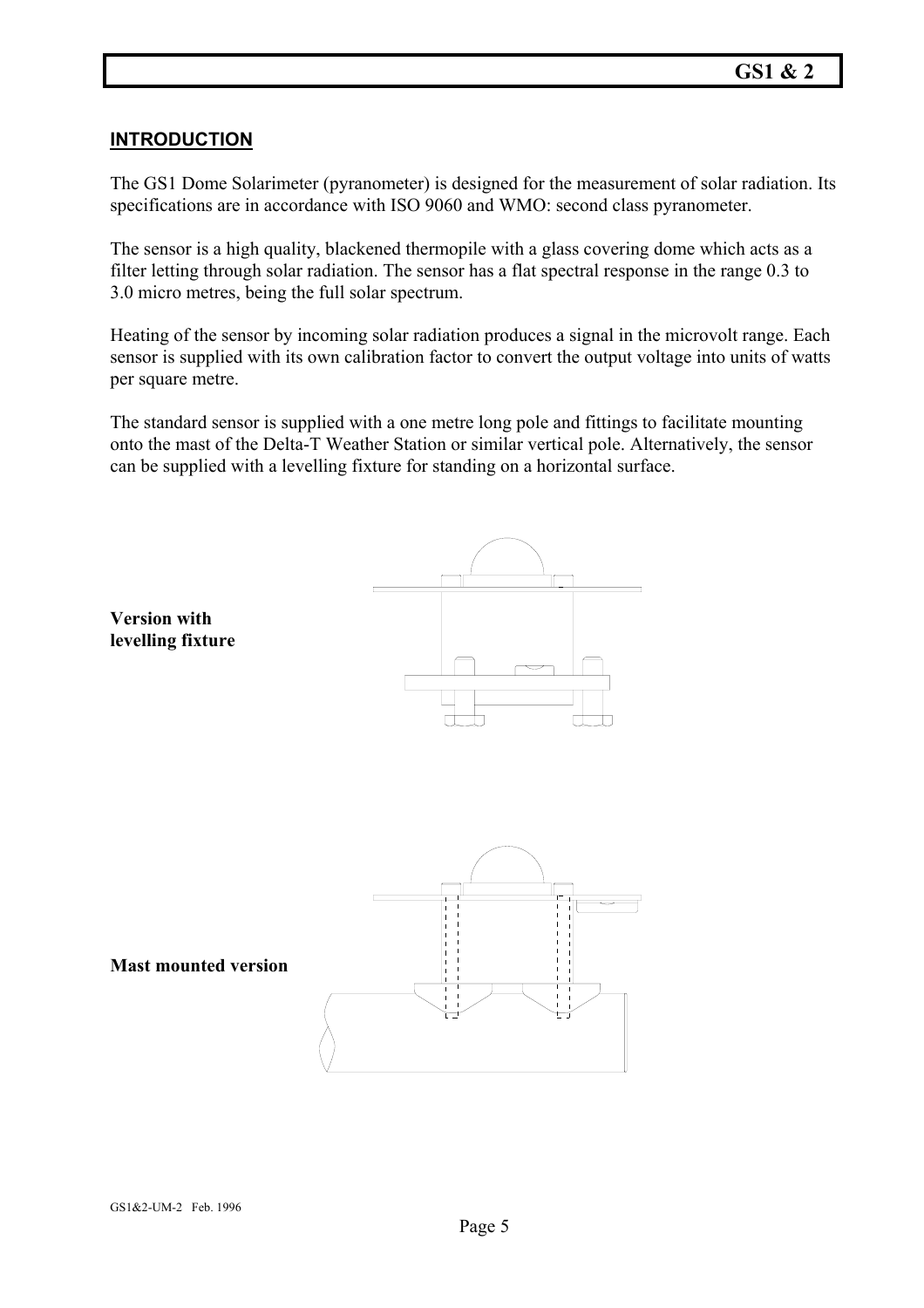#### **INTRODUCTION**

The GS1 Dome Solarimeter (pyranometer) is designed for the measurement of solar radiation. Its specifications are in accordance with ISO 9060 and WMO: second class pyranometer.

The sensor is a high quality, blackened thermopile with a glass covering dome which acts as a filter letting through solar radiation. The sensor has a flat spectral response in the range 0.3 to 3.0 micro metres, being the full solar spectrum.

Heating of the sensor by incoming solar radiation produces a signal in the microvolt range. Each sensor is supplied with its own calibration factor to convert the output voltage into units of watts per square metre.

The standard sensor is supplied with a one metre long pole and fittings to facilitate mounting onto the mast of the Delta-T Weather Station or similar vertical pole. Alternatively, the sensor can be supplied with a levelling fixture for standing on a horizontal surface.

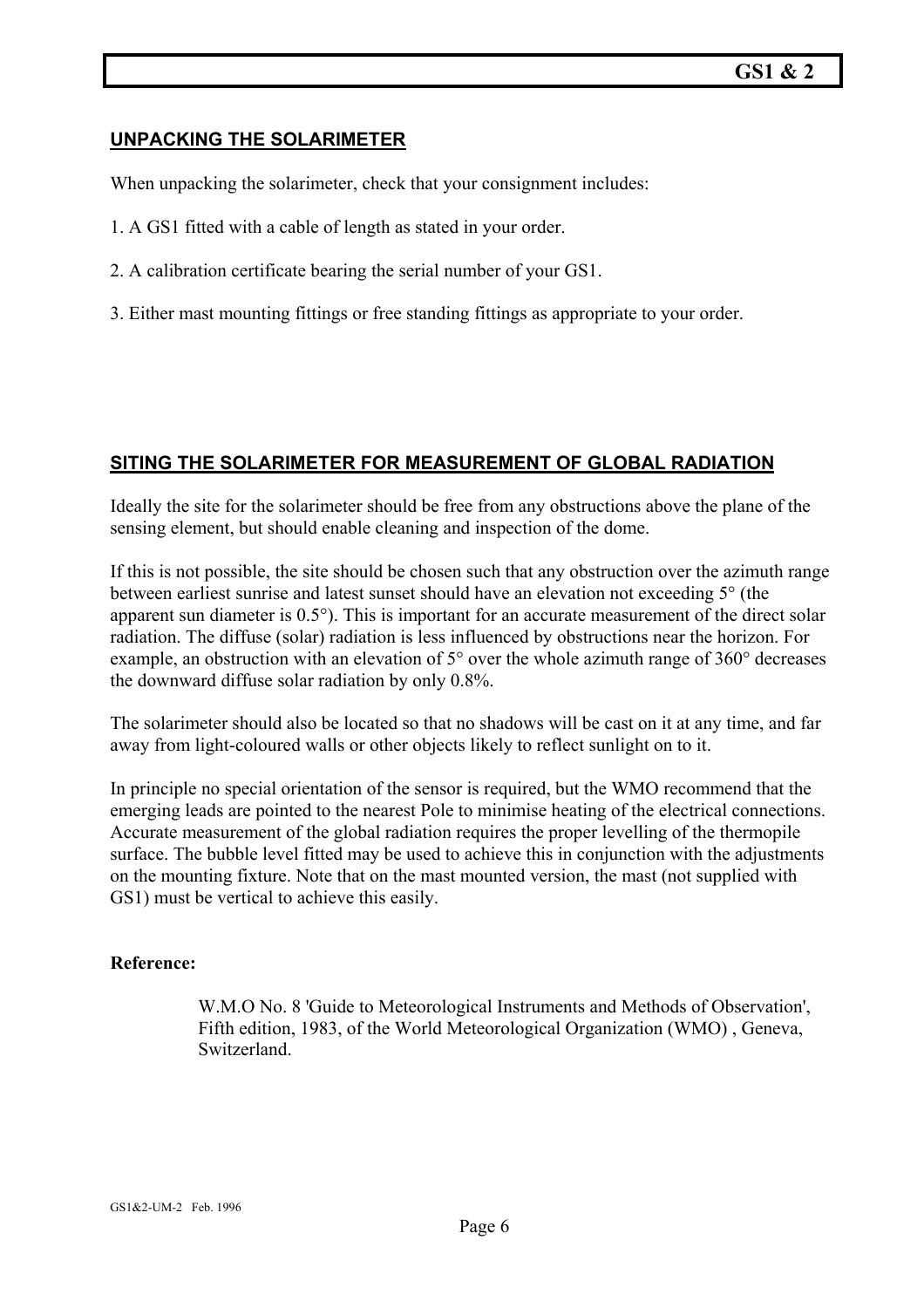#### **UNPACKING THE SOLARIMETER**

When unpacking the solarimeter, check that your consignment includes:

- 1. A GS1 fitted with a cable of length as stated in your order.
- 2. A calibration certificate bearing the serial number of your GS1.
- 3. Either mast mounting fittings or free standing fittings as appropriate to your order.

#### **SITING THE SOLARIMETER FOR MEASUREMENT OF GLOBAL RADIATION**

Ideally the site for the solarimeter should be free from any obstructions above the plane of the sensing element, but should enable cleaning and inspection of the dome.

If this is not possible, the site should be chosen such that any obstruction over the azimuth range between earliest sunrise and latest sunset should have an elevation not exceeding 5° (the apparent sun diameter is 0.5°). This is important for an accurate measurement of the direct solar radiation. The diffuse (solar) radiation is less influenced by obstructions near the horizon. For example, an obstruction with an elevation of 5° over the whole azimuth range of 360° decreases the downward diffuse solar radiation by only 0.8%.

The solarimeter should also be located so that no shadows will be cast on it at any time, and far away from light-coloured walls or other objects likely to reflect sunlight on to it.

In principle no special orientation of the sensor is required, but the WMO recommend that the emerging leads are pointed to the nearest Pole to minimise heating of the electrical connections. Accurate measurement of the global radiation requires the proper levelling of the thermopile surface. The bubble level fitted may be used to achieve this in conjunction with the adjustments on the mounting fixture. Note that on the mast mounted version, the mast (not supplied with GS1) must be vertical to achieve this easily.

#### **Reference:**

W.M.O No. 8 'Guide to Meteorological Instruments and Methods of Observation', Fifth edition, 1983, of the World Meteorological Organization (WMO) , Geneva, Switzerland.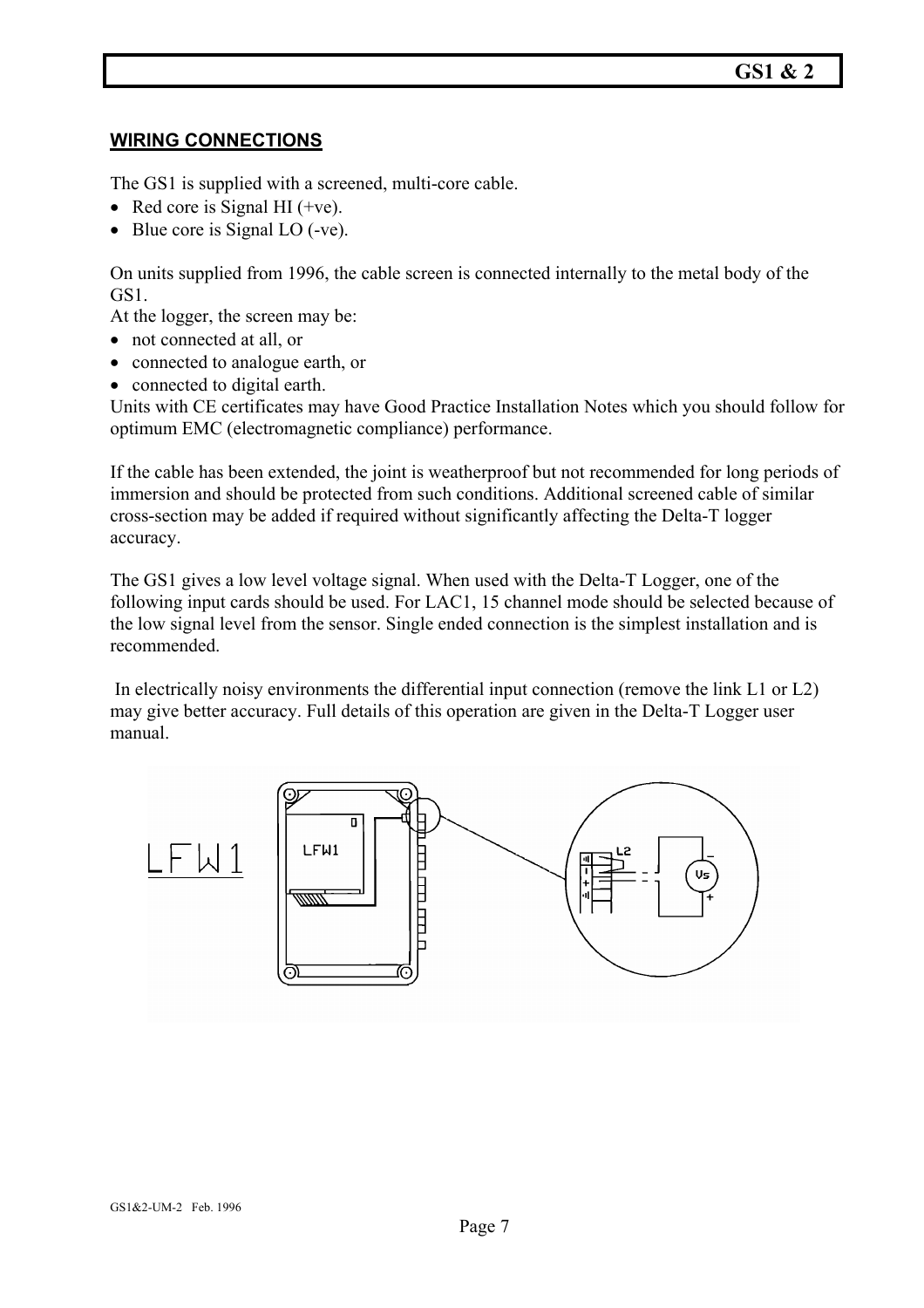#### **WIRING CONNECTIONS**

The GS1 is supplied with a screened, multi-core cable.

- Red core is Signal HI (+ve).
- Blue core is Signal LO (-ve).

On units supplied from 1996, the cable screen is connected internally to the metal body of the GS1.

At the logger, the screen may be:

- not connected at all, or
- connected to analogue earth, or
- connected to digital earth.

Units with CE certificates may have Good Practice Installation Notes which you should follow for optimum EMC (electromagnetic compliance) performance.

If the cable has been extended, the joint is weatherproof but not recommended for long periods of immersion and should be protected from such conditions. Additional screened cable of similar cross-section may be added if required without significantly affecting the Delta-T logger accuracy.

The GS1 gives a low level voltage signal. When used with the Delta-T Logger, one of the following input cards should be used. For LAC1, 15 channel mode should be selected because of the low signal level from the sensor. Single ended connection is the simplest installation and is recommended.

 In electrically noisy environments the differential input connection (remove the link L1 or L2) may give better accuracy. Full details of this operation are given in the Delta-T Logger user manual.

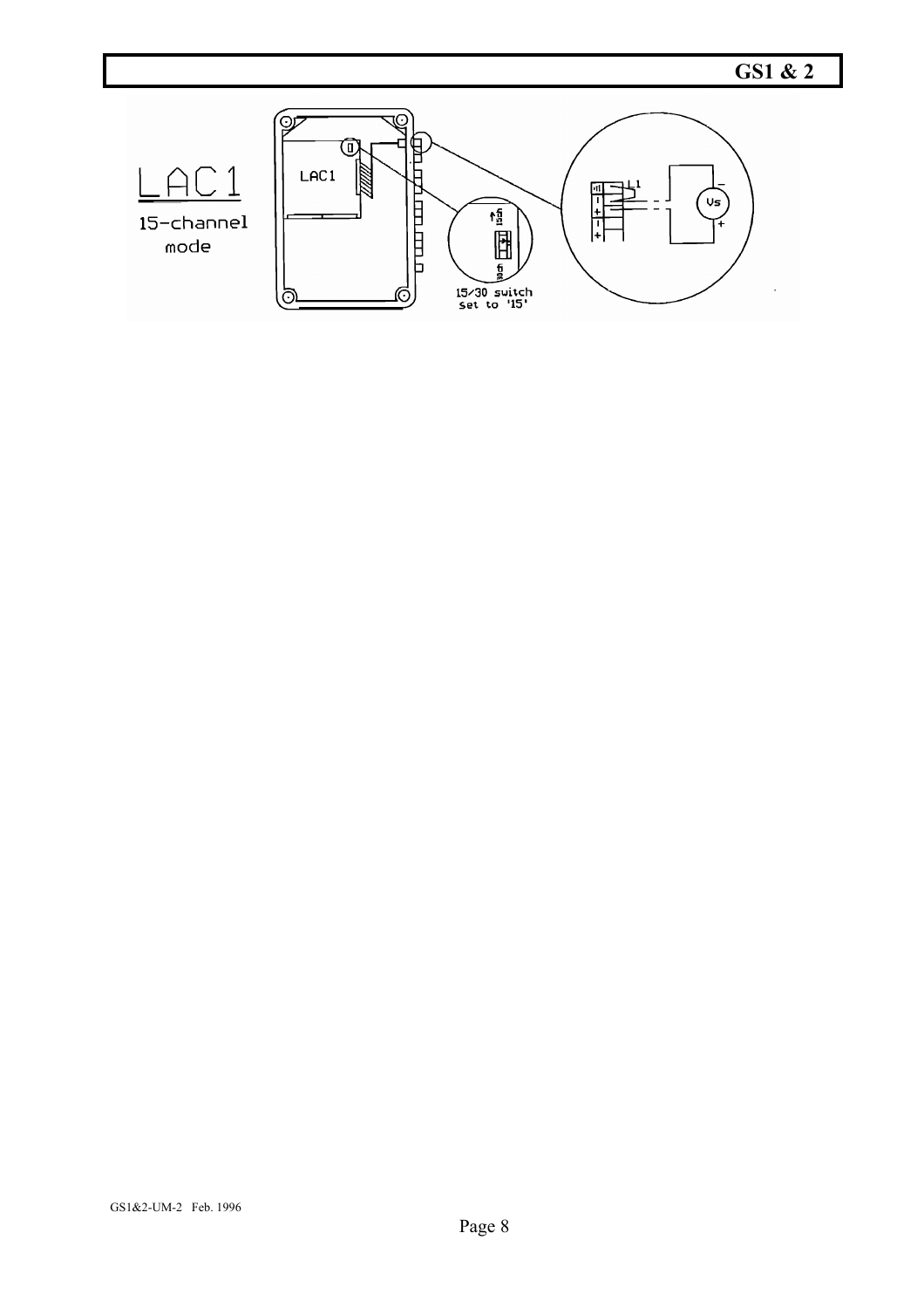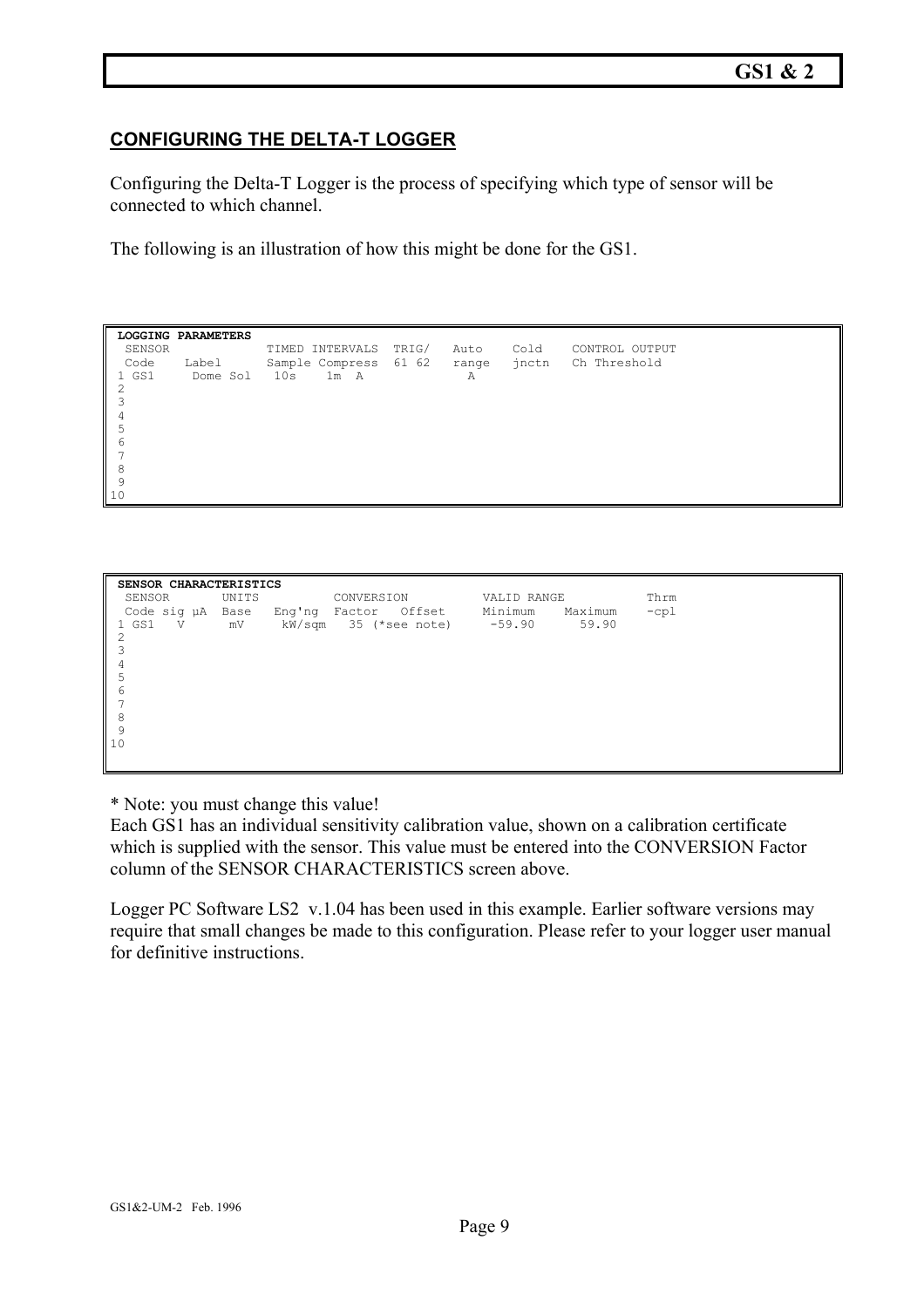#### **CONFIGURING THE DELTA-T LOGGER**

Configuring the Delta-T Logger is the process of specifying which type of sensor will be connected to which channel.

The following is an illustration of how this might be done for the GS1.

| SENSOR | LOGGING PARAMETERS | TIMED INTERVALS             | TRIG/ | Auto | Cold | CONTROL OUTPUT     |
|--------|--------------------|-----------------------------|-------|------|------|--------------------|
|        |                    |                             |       |      |      |                    |
| Code   | Label              | Sample Compress 61 62 range |       |      |      | inctn Ch Threshold |
| 1 GS1  | Dome Sol           | 1m A<br>10s                 |       | Α    |      |                    |
| 2      |                    |                             |       |      |      |                    |
|        |                    |                             |       |      |      |                    |
| 4      |                    |                             |       |      |      |                    |
| 5      |                    |                             |       |      |      |                    |
| 6      |                    |                             |       |      |      |                    |
|        |                    |                             |       |      |      |                    |
| 8      |                    |                             |       |      |      |                    |
| 9      |                    |                             |       |      |      |                    |
| 10     |                    |                             |       |      |      |                    |

| SENSOR CHARACTERISTICS |            |                    |                                                         |  |  |  |  |  |
|------------------------|------------|--------------------|---------------------------------------------------------|--|--|--|--|--|
| SENSOR UNITS           | CONVERSION | VALID RANGE        | Thrm                                                    |  |  |  |  |  |
| Code sig µA Base       |            | Minimum<br>Maximum | $-cpl$                                                  |  |  |  |  |  |
|                        |            | 59.90              |                                                         |  |  |  |  |  |
|                        |            |                    |                                                         |  |  |  |  |  |
|                        |            |                    |                                                         |  |  |  |  |  |
|                        |            |                    |                                                         |  |  |  |  |  |
|                        |            |                    |                                                         |  |  |  |  |  |
|                        |            |                    |                                                         |  |  |  |  |  |
|                        |            |                    |                                                         |  |  |  |  |  |
|                        |            |                    |                                                         |  |  |  |  |  |
|                        |            |                    |                                                         |  |  |  |  |  |
|                        |            |                    |                                                         |  |  |  |  |  |
|                        |            |                    |                                                         |  |  |  |  |  |
|                        |            |                    | Eng'ng Factor Offset<br>mV kW/sqm 35 (*see note) -59.90 |  |  |  |  |  |

\* Note: you must change this value!

Each GS1 has an individual sensitivity calibration value, shown on a calibration certificate which is supplied with the sensor. This value must be entered into the CONVERSION Factor column of the SENSOR CHARACTERISTICS screen above.

Logger PC Software LS2 v.1.04 has been used in this example. Earlier software versions may require that small changes be made to this configuration. Please refer to your logger user manual for definitive instructions.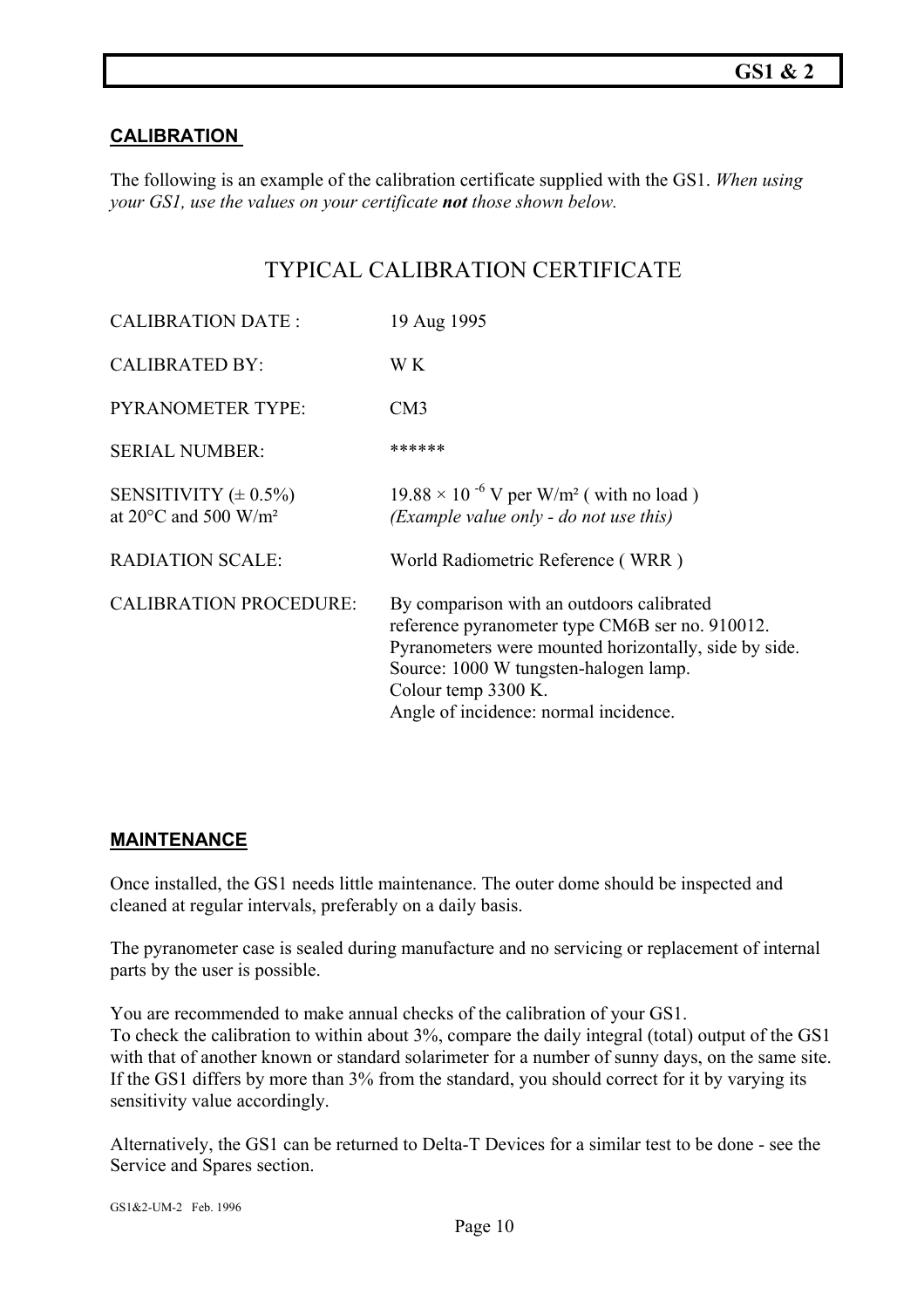#### **CALIBRATION**

The following is an example of the calibration certificate supplied with the GS1. *When using your GS1, use the values on your certificate not those shown below.* 

#### TYPICAL CALIBRATION CERTIFICATE

| <b>CALIBRATION DATE:</b>                                                | 19 Aug 1995                                                                                                                                                                                                                                                    |
|-------------------------------------------------------------------------|----------------------------------------------------------------------------------------------------------------------------------------------------------------------------------------------------------------------------------------------------------------|
| <b>CALIBRATED BY:</b>                                                   | W K                                                                                                                                                                                                                                                            |
| <b>PYRANOMETER TYPE:</b>                                                | CM3                                                                                                                                                                                                                                                            |
| <b>SERIAL NUMBER:</b>                                                   | ******                                                                                                                                                                                                                                                         |
| SENSITIVITY $(\pm 0.5\%)$<br>at 20 $\degree$ C and 500 W/m <sup>2</sup> | $19.88 \times 10^{-6}$ V per W/m <sup>2</sup> (with no load)<br>(Example value only - do not use this)                                                                                                                                                         |
| <b>RADIATION SCALE:</b>                                                 | World Radiometric Reference (WRR)                                                                                                                                                                                                                              |
| <b>CALIBRATION PROCEDURE:</b>                                           | By comparison with an outdoors calibrated<br>reference pyranometer type CM6B ser no. 910012.<br>Pyranometers were mounted horizontally, side by side.<br>Source: 1000 W tungsten-halogen lamp.<br>Colour temp 3300 K.<br>Angle of incidence: normal incidence. |

#### **MAINTENANCE**

Once installed, the GS1 needs little maintenance. The outer dome should be inspected and cleaned at regular intervals, preferably on a daily basis.

The pyranometer case is sealed during manufacture and no servicing or replacement of internal parts by the user is possible.

You are recommended to make annual checks of the calibration of your GS1. To check the calibration to within about 3%, compare the daily integral (total) output of the GS1 with that of another known or standard solarimeter for a number of sunny days, on the same site. If the GS1 differs by more than 3% from the standard, you should correct for it by varying its sensitivity value accordingly.

Alternatively, the GS1 can be returned to Delta-T Devices for a similar test to be done - see the Service and Spares section.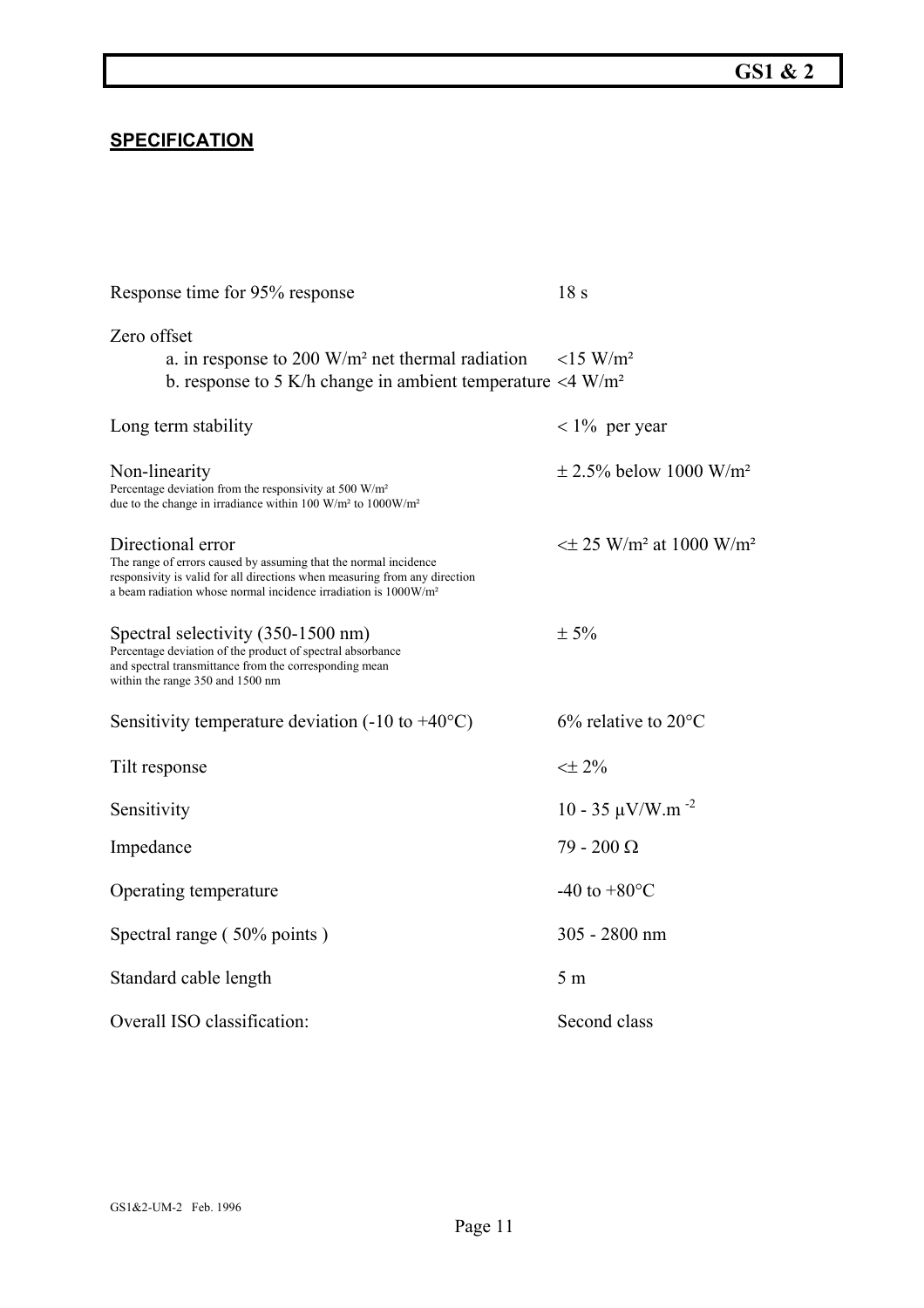#### **SPECIFICATION**

| Response time for 95% response                                                                                                                                                                                                                     | 18 <sub>s</sub>                                       |
|----------------------------------------------------------------------------------------------------------------------------------------------------------------------------------------------------------------------------------------------------|-------------------------------------------------------|
| Zero offset<br>a. in response to 200 $W/m^2$ net thermal radiation<br>b. response to 5 K/h change in ambient temperature $\langle 4 \text{ W/m}^2 \rangle$                                                                                         | $<$ 15 W/m <sup>2</sup>                               |
| Long term stability                                                                                                                                                                                                                                | $< 1\%$ per year                                      |
| Non-linearity<br>Percentage deviation from the responsivity at 500 W/m <sup>2</sup><br>due to the change in irradiance within 100 W/m <sup>2</sup> to 1000W/m <sup>2</sup>                                                                         | $\pm$ 2.5% below 1000 W/m <sup>2</sup>                |
| Directional error<br>The range of errors caused by assuming that the normal incidence<br>responsivity is valid for all directions when measuring from any direction<br>a beam radiation whose normal incidence irradiation is 1000W/m <sup>2</sup> | $\leq$ ± 25 W/m <sup>2</sup> at 1000 W/m <sup>2</sup> |
| Spectral selectivity (350-1500 nm)<br>Percentage deviation of the product of spectral absorbance<br>and spectral transmittance from the corresponding mean<br>within the range 350 and 1500 nm                                                     | $\pm$ 5%                                              |
| Sensitivity temperature deviation $(-10 \text{ to } +40^{\circ} \text{C})$                                                                                                                                                                         | $6\%$ relative to 20 $\degree$ C                      |
| Tilt response                                                                                                                                                                                                                                      | $<\pm 2\%$                                            |
| Sensitivity                                                                                                                                                                                                                                        | $10 - 35 \mu V/W.m^{-2}$                              |
| Impedance                                                                                                                                                                                                                                          | $79 - 200 \Omega$                                     |
| Operating temperature                                                                                                                                                                                                                              | -40 to $+80^{\circ}$ C                                |
| Spectral range (50% points)                                                                                                                                                                                                                        | 305 - 2800 nm                                         |
| Standard cable length                                                                                                                                                                                                                              | 5 <sub>m</sub>                                        |
| Overall ISO classification:                                                                                                                                                                                                                        | Second class                                          |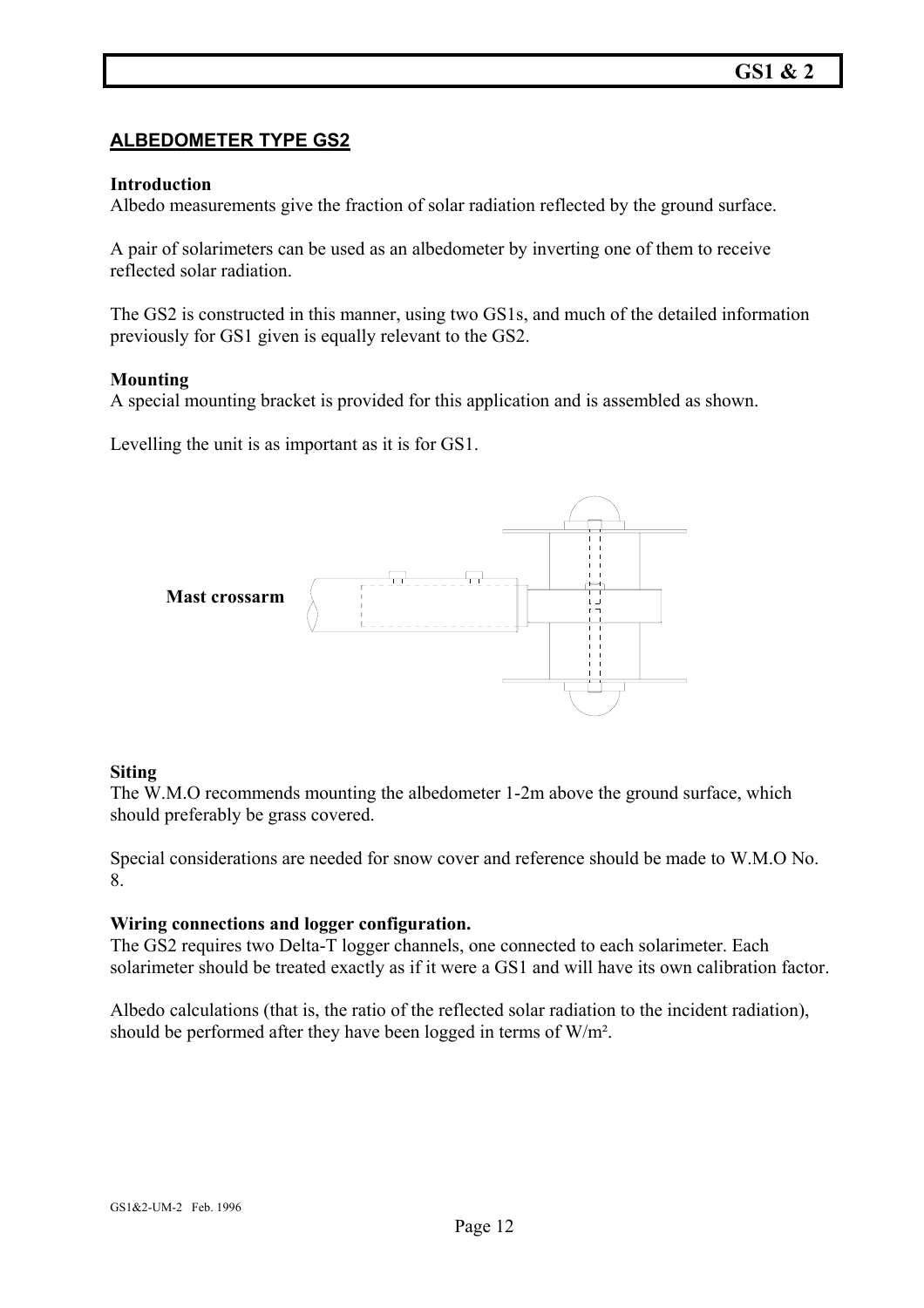#### **ALBEDOMETER TYPE GS2**

#### **Introduction**

Albedo measurements give the fraction of solar radiation reflected by the ground surface.

A pair of solarimeters can be used as an albedometer by inverting one of them to receive reflected solar radiation.

The GS2 is constructed in this manner, using two GS1s, and much of the detailed information previously for GS1 given is equally relevant to the GS2.

#### **Mounting**

A special mounting bracket is provided for this application and is assembled as shown.

Levelling the unit is as important as it is for GS1.



#### **Siting**

The W.M.O recommends mounting the albedometer 1-2m above the ground surface, which should preferably be grass covered.

Special considerations are needed for snow cover and reference should be made to W.M.O No. 8.

#### **Wiring connections and logger configuration.**

The GS2 requires two Delta-T logger channels, one connected to each solarimeter. Each solarimeter should be treated exactly as if it were a GS1 and will have its own calibration factor.

Albedo calculations (that is, the ratio of the reflected solar radiation to the incident radiation), should be performed after they have been logged in terms of W/m².